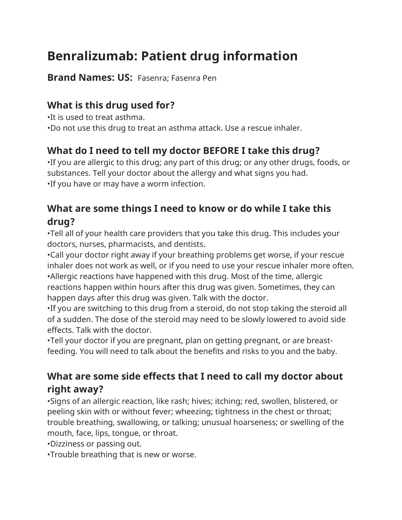# **Benralizumab: Patient drug information**

**Brand Names: US:** Fasenra; Fasenra Pen

# **What is this drug used for?**

•It is used to treat asthma.

•Do not use this drug to treat an asthma attack. Use a rescue inhaler.

# **What do I need to tell my doctor BEFORE I take this drug?**

•If you are allergic to this drug; any part of this drug; or any other drugs, foods, or substances. Tell your doctor about the allergy and what signs you had. •If you have or may have a worm infection.

## **What are some things I need to know or do while I take this drug?**

•Tell all of your health care providers that you take this drug. This includes your doctors, nurses, pharmacists, and dentists.

•Call your doctor right away if your breathing problems get worse, if your rescue inhaler does not work as well, or if you need to use your rescue inhaler more often. •Allergic reactions have happened with this drug. Most of the time, allergic reactions happen within hours after this drug was given. Sometimes, they can happen days after this drug was given. Talk with the doctor.

•If you are switching to this drug from a steroid, do not stop taking the steroid all of a sudden. The dose of the steroid may need to be slowly lowered to avoid side effects. Talk with the doctor.

•Tell your doctor if you are pregnant, plan on getting pregnant, or are breastfeeding. You will need to talk about the benefits and risks to you and the baby.

#### **What are some side effects that I need to call my doctor about right away?**

•Signs of an allergic reaction, like rash; hives; itching; red, swollen, blistered, or peeling skin with or without fever; wheezing; tightness in the chest or throat; trouble breathing, swallowing, or talking; unusual hoarseness; or swelling of the mouth, face, lips, tongue, or throat.

•Dizziness or passing out.

•Trouble breathing that is new or worse.